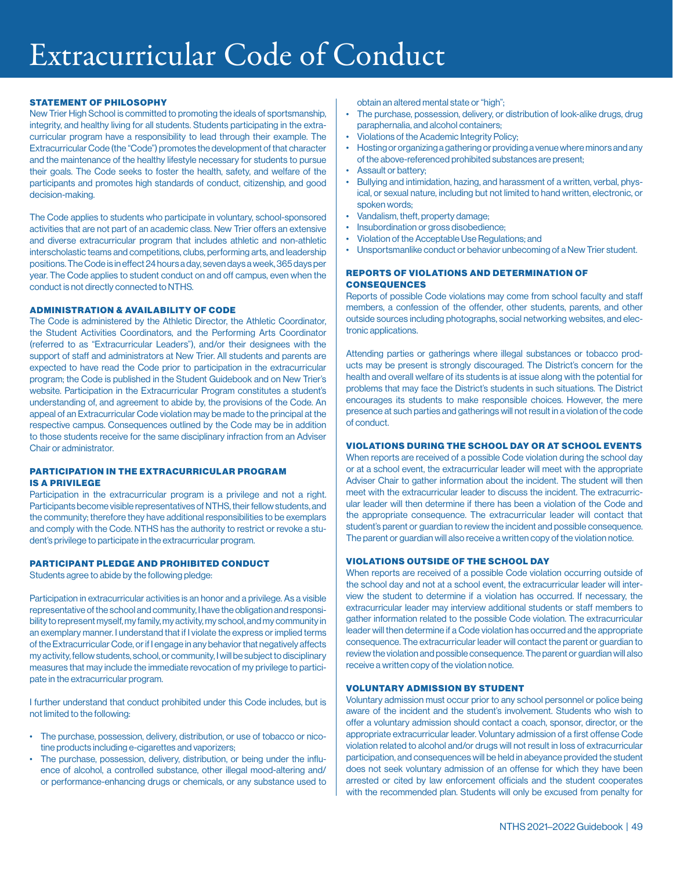# Extracurricular Code of Conduct

#### STATEMENT OF PHILOSOPHY

New Trier High School is committed to promoting the ideals of sportsmanship, integrity, and healthy living for all students. Students participating in the extracurricular program have a responsibility to lead through their example. The Extracurricular Code (the "Code") promotes the development of that character and the maintenance of the healthy lifestyle necessary for students to pursue their goals. The Code seeks to foster the health, safety, and welfare of the participants and promotes high standards of conduct, citizenship, and good decision-making.

The Code applies to students who participate in voluntary, school-sponsored activities that are not part of an academic class. New Trier offers an extensive and diverse extracurricular program that includes athletic and non-athletic interscholastic teams and competitions, clubs, performing arts, and leadership positions. The Code is in effect 24 hours a day, seven days a week, 365 days per year. The Code applies to student conduct on and off campus, even when the conduct is not directly connected to NTHS.

#### **ADMINISTRATION & AVAILABILITY OF CODE**

The Code is administered by the Athletic Director, the Athletic Coordinator, the Student Activities Coordinators, and the Performing Arts Coordinator (referred to as "Extracurricular Leaders"), and/or their designees with the support of staff and administrators at New Trier. All students and parents are expected to have read the Code prior to participation in the extracurricular program; the Code is published in the Student Guidebook and on New Trier's website. Participation in the Extracurricular Program constitutes a student's understanding of, and agreement to abide by, the provisions of the Code. An appeal of an Extracurricular Code violation may be made to the principal at the respective campus. Consequences outlined by the Code may be in addition to those students receive for the same disciplinary infraction from an Adviser Chair or administrator.

#### PARTICIPATION IN THE EXTRACURRICULAR PROGRAM IS A PRIVILEGE

Participation in the extracurricular program is a privilege and not a right. Participants become visible representatives of NTHS, their fellow students, and the community; therefore they have additional responsibilities to be exemplars and comply with the Code. NTHS has the authority to restrict or revoke a student's privilege to participate in the extracurricular program.

#### PARTICIPANT PLEDGE AND PROHIBITED CONDUCT

Students agree to abide by the following pledge:

Participation in extracurricular activities is an honor and a privilege. As a visible representative of the school and community, I have the obligation and responsibility to represent myself, my family, my activity, my school, and my community in an exemplary manner. I understand that if I violate the express or implied terms of the Extracurricular Code, or if I engage in any behavior that negatively affects my activity, fellow students, school, or community, I will be subject to disciplinary measures that may include the immediate revocation of my privilege to participate in the extracurricular program.

I further understand that conduct prohibited under this Code includes, but is not limited to the following:

- The purchase, possession, delivery, distribution, or use of tobacco or nicotine products including e-cigarettes and vaporizers;
- The purchase, possession, delivery, distribution, or being under the influence of alcohol, a controlled substance, other illegal mood-altering and/ or performance-enhancing drugs or chemicals, or any substance used to

obtain an altered mental state or "high";

- The purchase, possession, delivery, or distribution of look-alike drugs, drug paraphernalia, and alcohol containers;
- Violations of the Academic Integrity Policy;
- Hosting or organizing a gathering or providing a venue where minors and any of the above-referenced prohibited substances are present;
- Assault or battery;
- Bullying and intimidation, hazing, and harassment of a written, verbal, physical, or sexual nature, including but not limited to hand written, electronic, or spoken words;
- Vandalism, theft, property damage;
- Insubordination or gross disobedience;
- Violation of the Acceptable Use Regulations; and
- Unsportsmanlike conduct or behavior unbecoming of a New Trier student.

#### REPORTS OF VIOLATIONS AND DETERMINATION OF **CONSEQUENCES**

Reports of possible Code violations may come from school faculty and staff members, a confession of the offender, other students, parents, and other outside sources including photographs, social networking websites, and electronic applications.

Attending parties or gatherings where illegal substances or tobacco products may be present is strongly discouraged. The District's concern for the health and overall welfare of its students is at issue along with the potential for problems that may face the District's students in such situations. The District encourages its students to make responsible choices. However, the mere presence at such parties and gatherings will not result in a violation of the code of conduct.

#### VIOL ATIONS DURING THE SCHOOL DAY OR AT SCHOOL EVENTS

When reports are received of a possible Code violation during the school day or at a school event, the extracurricular leader will meet with the appropriate Adviser Chair to gather information about the incident. The student will then meet with the extracurricular leader to discuss the incident. The extracurricular leader will then determine if there has been a violation of the Code and the appropriate consequence. The extracurricular leader will contact that student's parent or guardian to review the incident and possible consequence. The parent or guardian will also receive a written copy of the violation notice.

#### VIOL ATIONS OUTSIDE OF THE SCHOOL DAY

When reports are received of a possible Code violation occurring outside of the school day and not at a school event, the extracurricular leader will interview the student to determine if a violation has occurred. If necessary, the extracurricular leader may interview additional students or staff members to gather information related to the possible Code violation. The extracurricular leader will then determine if a Code violation has occurred and the appropriate consequence. The extracurricular leader will contact the parent or guardian to review the violation and possible consequence. The parent or guardian will also receive a written copy of the violation notice.

#### **VOLUNTARY ADMISSION BY STUDENT**

Voluntary admission must occur prior to any school personnel or police being aware of the incident and the student's involvement. Students who wish to offer a voluntary admission should contact a coach, sponsor, director, or the appropriate extracurricular leader. Voluntary admission of a first offense Code violation related to alcohol and/or drugs will not result in loss of extracurricular participation, and consequences will be held in abeyance provided the student does not seek voluntary admission of an offense for which they have been arrested or cited by law enforcement officials and the student cooperates with the recommended plan. Students will only be excused from penalty for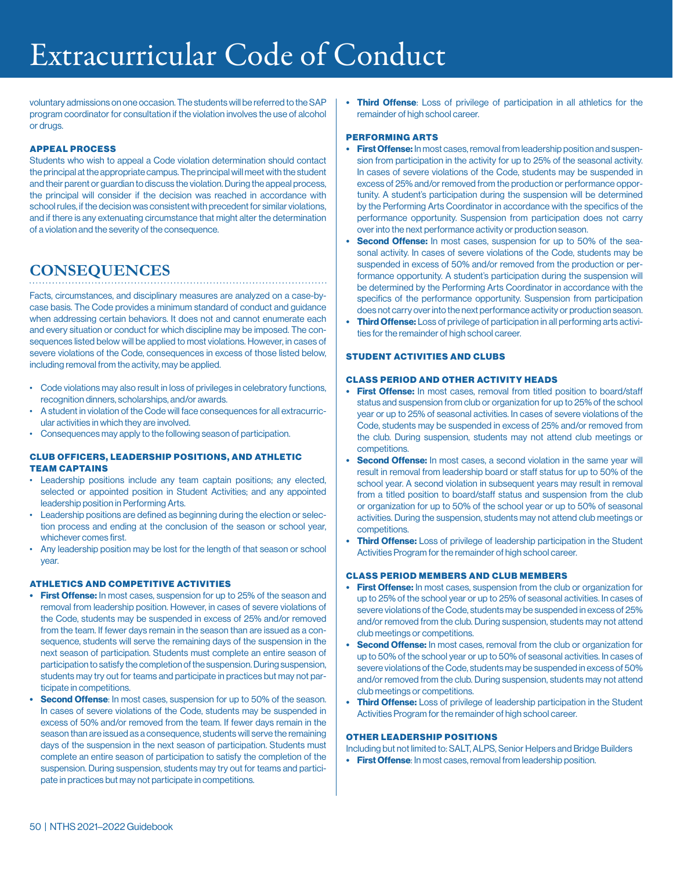# Extracurricular Code of Conduct

voluntary admissions on one occasion. The students will be referred to the SAP program coordinator for consultation if the violation involves the use of alcohol or drugs.

#### APPEAL PROCESS

Students who wish to appeal a Code violation determination should contact the principal at the appropriate campus. The principal will meet with the student and their parent or guardian to discuss the violation. During the appeal process, the principal will consider if the decision was reached in accordance with school rules, if the decision was consistent with precedent for similar violations, and if there is any extenuating circumstance that might alter the determination of a violation and the severity of the consequence.

## **CONSEQUENCES**

Facts, circumstances, and disciplinary measures are analyzed on a case-bycase basis. The Code provides a minimum standard of conduct and guidance when addressing certain behaviors. It does not and cannot enumerate each and every situation or conduct for which discipline may be imposed. The consequences listed below will be applied to most violations. However, in cases of severe violations of the Code, consequences in excess of those listed below, including removal from the activity, may be applied.

- Code violations may also result in loss of privileges in celebratory functions, recognition dinners, scholarships, and/or awards.
- A student in violation of the Code will face consequences for all extracurricular activities in which they are involved.
- Consequences may apply to the following season of participation.

#### **CLUB OFFICERS, LEADERSHIP POSITIONS, AND ATHLETIC** TEAM CAPTAINS

- Leadership positions include any team captain positions; any elected, selected or appointed position in Student Activities; and any appointed leadership position in Performing Arts.
- Leadership positions are defined as beginning during the election or selection process and ending at the conclusion of the season or school year, whichever comes first.
- Any leadership position may be lost for the length of that season or school year.

#### ATHLETICS AND COMPETITIVE ACTIVITIES

- First Offense: In most cases, suspension for up to 25% of the season and removal from leadership position. However, in cases of severe violations of the Code, students may be suspended in excess of 25% and/or removed from the team. If fewer days remain in the season than are issued as a consequence, students will serve the remaining days of the suspension in the next season of participation. Students must complete an entire season of participation to satisfy the completion of the suspension. During suspension, students may try out for teams and participate in practices but may not participate in competitions.
- **Second Offense:** In most cases, suspension for up to 50% of the season. In cases of severe violations of the Code, students may be suspended in excess of 50% and/or removed from the team. If fewer days remain in the season than are issued as a consequence, students will serve the remaining days of the suspension in the next season of participation. Students must complete an entire season of participation to satisfy the completion of the suspension. During suspension, students may try out for teams and participate in practices but may not participate in competitions.

• Third Offense: Loss of privilege of participation in all athletics for the remainder of high school career.

## PERFORMING ARTS

- First Offense: In most cases, removal from leadership position and suspension from participation in the activity for up to 25% of the seasonal activity. In cases of severe violations of the Code, students may be suspended in excess of 25% and/or removed from the production or performance opportunity. A student's participation during the suspension will be determined by the Performing Arts Coordinator in accordance with the specifics of the performance opportunity. Suspension from participation does not carry over into the next performance activity or production season.
- Second Offense: In most cases, suspension for up to 50% of the seasonal activity. In cases of severe violations of the Code, students may be suspended in excess of 50% and/or removed from the production or performance opportunity. A student's participation during the suspension will be determined by the Performing Arts Coordinator in accordance with the specifics of the performance opportunity. Suspension from participation does not carry over into the next performance activity or production season.
- Third Offense: Loss of privilege of participation in all performing arts activities for the remainder of high school career.

## STUDENT ACTIVITIES AND CLUBS

### CLASS PERIOD AND OTHER ACTIVITY HEADS

- First Offense: In most cases, removal from titled position to board/staff status and suspension from club or organization for up to 25% of the school year or up to 25% of seasonal activities. In cases of severe violations of the Code, students may be suspended in excess of 25% and/or removed from the club. During suspension, students may not attend club meetings or competitions.
- **Second Offense:** In most cases, a second violation in the same year will result in removal from leadership board or staff status for up to 50% of the school year. A second violation in subsequent years may result in removal from a titled position to board/staff status and suspension from the club or organization for up to 50% of the school year or up to 50% of seasonal activities. During the suspension, students may not attend club meetings or competitions.
- Third Offense: Loss of privilege of leadership participation in the Student Activities Program for the remainder of high school career.

## CLASS PERIOD MEMBERS AND CLUB MEMBERS

- First Offense: In most cases, suspension from the club or organization for up to 25% of the school year or up to 25% of seasonal activities. In cases of severe violations of the Code, students may be suspended in excess of 25% and/or removed from the club. During suspension, students may not attend club meetings or competitions.
- Second Offense: In most cases, removal from the club or organization for up to 50% of the school year or up to 50% of seasonal activities. In cases of severe violations of the Code, students may be suspended in excess of 50% and/or removed from the club. During suspension, students may not attend club meetings or competitions.
- Third Offense: Loss of privilege of leadership participation in the Student Activities Program for the remainder of high school career.

### OTHER LEADERSHIP POSITIONS

Including but not limited to: SALT, ALPS, Senior Helpers and Bridge Builders

• First Offense: In most cases, removal from leadership position.